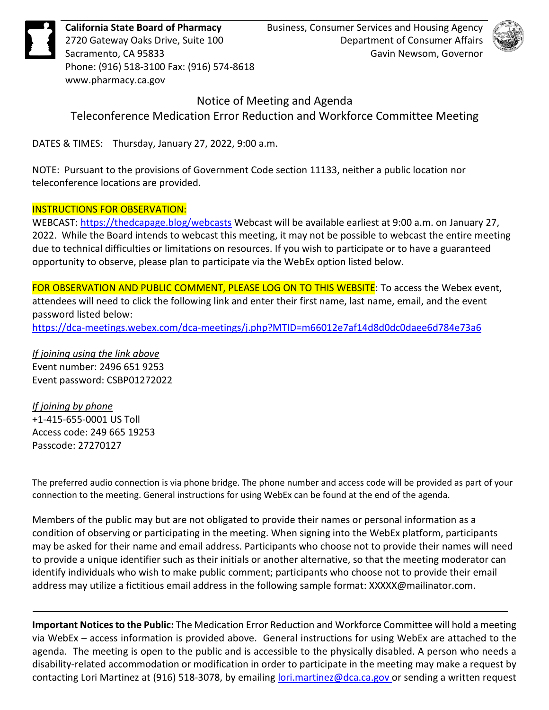**California State Board of Pharmacy** 2720 Gateway Oaks Drive, Suite 100 Sacramento, CA 95833 Phone: (916) 518-3100 Fax: (916) 574-8618 www.pharmacy.ca.gov

Business, Consumer Services and Housing Agency Department of Consumer Affairs Gavin Newsom, Governor



## Notice of Meeting and Agenda

Teleconference Medication Error Reduction and Workforce Committee Meeting

DATES & TIMES: Thursday, January 27, 2022, 9:00 a.m.

NOTE: Pursuant to the provisions of Government Code section 11133, neither a public location nor teleconference locations are provided.

# INSTRUCTIONS FOR OBSERVATION:

WEBCAST:<https://thedcapage.blog/webcasts> Webcast will be available earliest at 9:00 a.m. on January 27, 2022. While the Board intends to webcast this meeting, it may not be possible to webcast the entire meeting due to technical difficulties or limitations on resources. If you wish to participate or to have a guaranteed opportunity to observe, please plan to participate via the WebEx option listed below.

FOR OBSERVATION AND PUBLIC COMMENT, PLEASE LOG ON TO THIS WEBSITE: To access the Webex event, attendees will need to click the following link and enter their first name, last name, email, and the event password listed below:

<https://dca-meetings.webex.com/dca-meetings/j.php?MTID=m66012e7af14d8d0dc0daee6d784e73a6>

*If joining using the link above* Event number: 2496 651 9253 Event password: CSBP01272022

*If joining by phone* +1-415-655-0001 US Toll Access code: 249 665 19253 Passcode: 27270127

The preferred audio connection is via phone bridge. The phone number and access code will be provided as part of your connection to the meeting. General instructions for using WebEx can be found at the end of the agenda.

Members of the public may but are not obligated to provide their names or personal information as a condition of observing or participating in the meeting. When signing into the WebEx platform, participants may be asked for their name and email address. Participants who choose not to provide their names will need to provide a unique identifier such as their initials or another alternative, so that the meeting moderator can identify individuals who wish to make public comment; participants who choose not to provide their email address may utilize a fictitious email address in the following sample format: XXXXX@mailinator.com.

**Important Notices to the Public:** The Medication Error Reduction and Workforce Committee will hold a meeting via WebEx – access information is provided above. General instructions for using WebEx are attached to the agenda. The meeting is open to the public and is accessible to the physically disabled. A person who needs a disability-related accommodation or modification in order to participate in the meeting may make a request by contacting Lori Martinez at (916) 518-3078, by emailing [lori.martinez@dca.ca.gov o](mailto:lori.martinez@dca.ca.gov)r sending a written request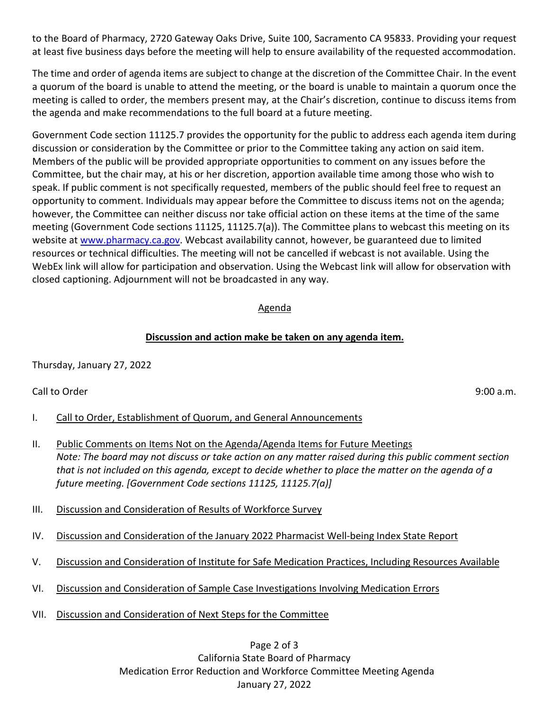to the Board of Pharmacy, 2720 Gateway Oaks Drive, Suite 100, Sacramento CA 95833. Providing your request at least five business days before the meeting will help to ensure availability of the requested accommodation.

The time and order of agenda items are subject to change at the discretion of the Committee Chair. In the event a quorum of the board is unable to attend the meeting, or the board is unable to maintain a quorum once the meeting is called to order, the members present may, at the Chair's discretion, continue to discuss items from the agenda and make recommendations to the full board at a future meeting.

Government Code section 11125.7 provides the opportunity for the public to address each agenda item during discussion or consideration by the Committee or prior to the Committee taking any action on said item. Members of the public will be provided appropriate opportunities to comment on any issues before the Committee, but the chair may, at his or her discretion, apportion available time among those who wish to speak. If public comment is not specifically requested, members of the public should feel free to request an opportunity to comment. Individuals may appear before the Committee to discuss items not on the agenda; however, the Committee can neither discuss nor take official action on these items at the time of the same meeting (Government Code sections 11125, 11125.7(a)). The Committee plans to webcast this meeting on its website at [www.pharmacy.ca.gov.](http://www.pharmacy.ca.gov/) Webcast availability cannot, however, be guaranteed due to limited resources or technical difficulties. The meeting will not be cancelled if webcast is not available. Using the WebEx link will allow for participation and observation. Using the Webcast link will allow for observation with closed captioning. Adjournment will not be broadcasted in any way.

#### Agenda

## **Discussion and action make be taken on any agenda item.**

Thursday, January 27, 2022

Call to Order 9:00 a.m.

- I. Call to Order, Establishment of Quorum, and General Announcements
- II. Public Comments on Items Not on the Agenda/Agenda Items for Future Meetings *Note: The board may not discuss or take action on any matter raised during this public comment section that is not included on this agenda, except to decide whether to place the matter on the agenda of a future meeting. [Government Code sections 11125, 11125.7(a)]*
- III. Discussion and Consideration of Results of Workforce Survey
- IV. Discussion and Consideration of the January 2022 Pharmacist Well-being Index State Report
- V. Discussion and Consideration of Institute for Safe Medication Practices, Including Resources Available
- VI. Discussion and Consideration of Sample Case Investigations Involving Medication Errors
- VII. Discussion and Consideration of Next Steps for the Committee

Page 2 of 3 California State Board of Pharmacy Medication Error Reduction and Workforce Committee Meeting Agenda January 27, 2022